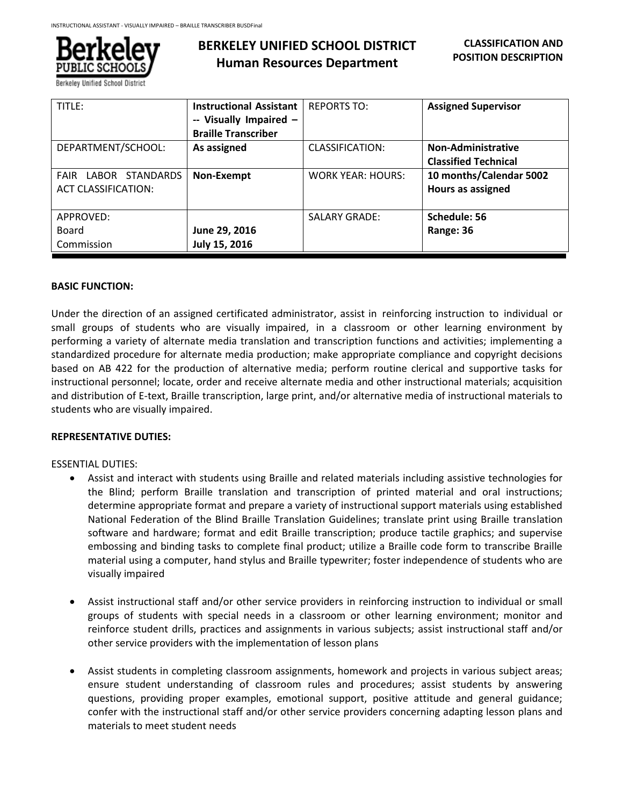

# **BERKELEY UNIFIED SCHOOL DISTRICT Human Resources Department**

| TITLE:                                   | <b>Instructional Assistant</b> | <b>REPORTS TO:</b>       | <b>Assigned Supervisor</b>  |
|------------------------------------------|--------------------------------|--------------------------|-----------------------------|
|                                          | -- Visually Impaired -         |                          |                             |
|                                          | <b>Braille Transcriber</b>     |                          |                             |
| DEPARTMENT/SCHOOL:                       | As assigned                    | CLASSIFICATION:          | Non-Administrative          |
|                                          |                                |                          | <b>Classified Technical</b> |
| <b>STANDARDS</b><br>LABOR<br><b>FAIR</b> | Non-Exempt                     | <b>WORK YEAR: HOURS:</b> | 10 months/Calendar 5002     |
| <b>ACT CLASSIFICATION:</b>               |                                |                          | Hours as assigned           |
|                                          |                                |                          |                             |
| APPROVED:                                |                                | <b>SALARY GRADE:</b>     | Schedule: 56                |
| Board                                    | June 29, 2016                  |                          | Range: 36                   |
| Commission                               | July 15, 2016                  |                          |                             |

### **BASIC FUNCTION:**

Under the direction of an assigned certificated administrator, assist in reinforcing instruction to individual or small groups of students who are visually impaired, in a classroom or other learning environment by performing a variety of alternate media translation and transcription functions and activities; implementing a standardized procedure for alternate media production; make appropriate compliance and copyright decisions based on AB 422 for the production of alternative media; perform routine clerical and supportive tasks for instructional personnel; locate, order and receive alternate media and other instructional materials; acquisition and distribution of E-text, Braille transcription, large print, and/or alternative media of instructional materials to students who are visually impaired.

# **REPRESENTATIVE DUTIES:**

#### ESSENTIAL DUTIES:

- Assist and interact with students using Braille and related materials including assistive technologies for the Blind; perform Braille translation and transcription of printed material and oral instructions; determine appropriate format and prepare a variety of instructional support materials using established National Federation of the Blind Braille Translation Guidelines; translate print using Braille translation software and hardware; format and edit Braille transcription; produce tactile graphics; and supervise embossing and binding tasks to complete final product; utilize a Braille code form to transcribe Braille material using a computer, hand stylus and Braille typewriter; foster independence of students who are visually impaired
- Assist instructional staff and/or other service providers in reinforcing instruction to individual or small groups of students with special needs in a classroom or other learning environment; monitor and reinforce student drills, practices and assignments in various subjects; assist instructional staff and/or other service providers with the implementation of lesson plans
- Assist students in completing classroom assignments, homework and projects in various subject areas; ensure student understanding of classroom rules and procedures; assist students by answering questions, providing proper examples, emotional support, positive attitude and general guidance; confer with the instructional staff and/or other service providers concerning adapting lesson plans and materials to meet student needs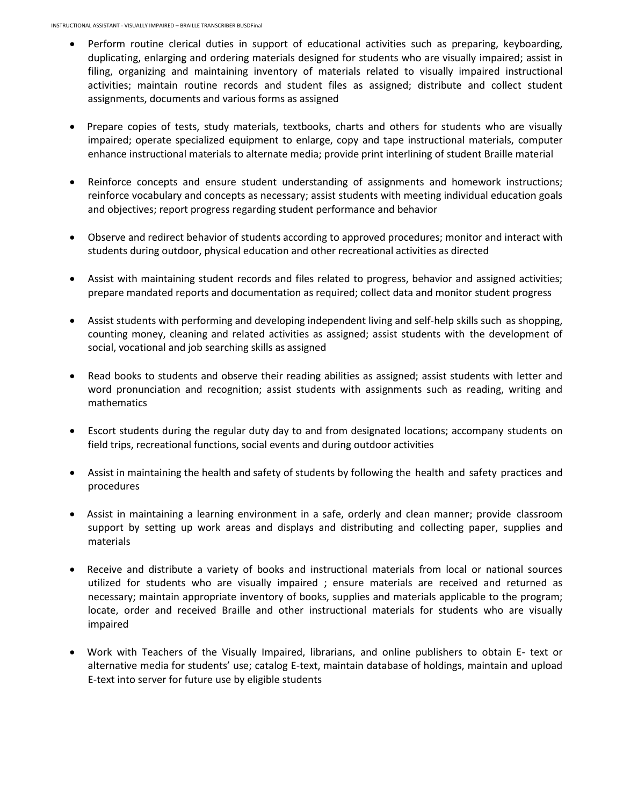- Perform routine clerical duties in support of educational activities such as preparing, keyboarding, duplicating, enlarging and ordering materials designed for students who are visually impaired; assist in filing, organizing and maintaining inventory of materials related to visually impaired instructional activities; maintain routine records and student files as assigned; distribute and collect student assignments, documents and various forms as assigned
- Prepare copies of tests, study materials, textbooks, charts and others for students who are visually impaired; operate specialized equipment to enlarge, copy and tape instructional materials, computer enhance instructional materials to alternate media; provide print interlining of student Braille material
- Reinforce concepts and ensure student understanding of assignments and homework instructions; reinforce vocabulary and concepts as necessary; assist students with meeting individual education goals and objectives; report progress regarding student performance and behavior
- Observe and redirect behavior of students according to approved procedures; monitor and interact with students during outdoor, physical education and other recreational activities as directed
- Assist with maintaining student records and files related to progress, behavior and assigned activities; prepare mandated reports and documentation as required; collect data and monitor student progress
- Assist students with performing and developing independent living and self-help skills such as shopping, counting money, cleaning and related activities as assigned; assist students with the development of social, vocational and job searching skills as assigned
- Read books to students and observe their reading abilities as assigned; assist students with letter and word pronunciation and recognition; assist students with assignments such as reading, writing and mathematics
- Escort students during the regular duty day to and from designated locations; accompany students on field trips, recreational functions, social events and during outdoor activities
- Assist in maintaining the health and safety of students by following the health and safety practices and procedures
- Assist in maintaining a learning environment in a safe, orderly and clean manner; provide classroom support by setting up work areas and displays and distributing and collecting paper, supplies and materials
- Receive and distribute a variety of books and instructional materials from local or national sources utilized for students who are visually impaired ; ensure materials are received and returned as necessary; maintain appropriate inventory of books, supplies and materials applicable to the program; locate, order and received Braille and other instructional materials for students who are visually impaired
- Work with Teachers of the Visually Impaired, librarians, and online publishers to obtain E- text or alternative media for students' use; catalog E-text, maintain database of holdings, maintain and upload E-text into server for future use by eligible students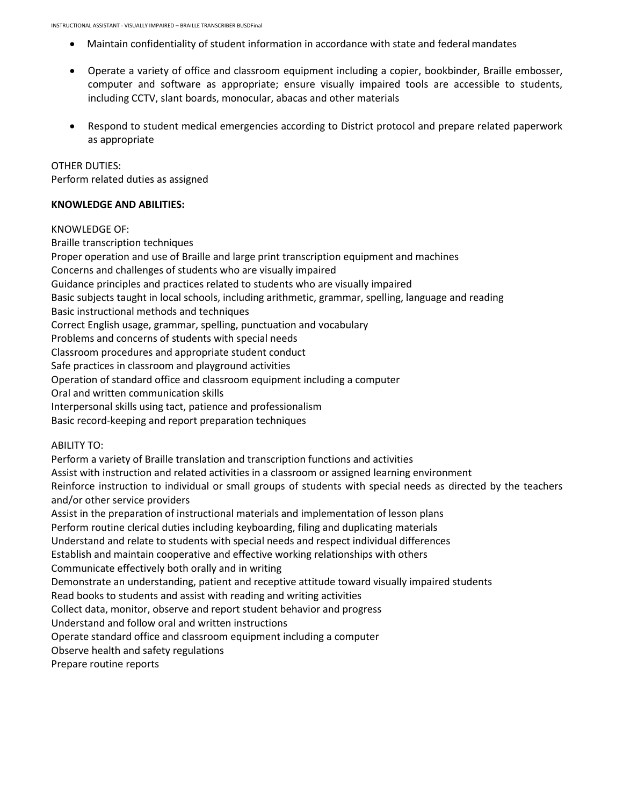- Maintain confidentiality of student information in accordance with state and federalmandates
- Operate a variety of office and classroom equipment including a copier, bookbinder, Braille embosser, computer and software as appropriate; ensure visually impaired tools are accessible to students, including CCTV, slant boards, monocular, abacas and other materials
- Respond to student medical emergencies according to District protocol and prepare related paperwork as appropriate

OTHER DUTIES:

Perform related duties as assigned

### **KNOWLEDGE AND ABILITIES:**

#### KNOWLEDGE OF:

Braille transcription techniques Proper operation and use of Braille and large print transcription equipment and machines Concerns and challenges of students who are visually impaired Guidance principles and practices related to students who are visually impaired Basic subjects taught in local schools, including arithmetic, grammar, spelling, language and reading Basic instructional methods and techniques Correct English usage, grammar, spelling, punctuation and vocabulary Problems and concerns of students with special needs Classroom procedures and appropriate student conduct Safe practices in classroom and playground activities Operation of standard office and classroom equipment including a computer Oral and written communication skills Interpersonal skills using tact, patience and professionalism Basic record-keeping and report preparation techniques ABILITY TO: Perform a variety of Braille translation and transcription functions and activities Assist with instruction and related activities in a classroom or assigned learning environment Reinforce instruction to individual or small groups of students with special needs as directed by the teachers

and/or other service providers

Assist in the preparation of instructional materials and implementation of lesson plans

Perform routine clerical duties including keyboarding, filing and duplicating materials

Understand and relate to students with special needs and respect individual differences

Establish and maintain cooperative and effective working relationships with others

Communicate effectively both orally and in writing

Demonstrate an understanding, patient and receptive attitude toward visually impaired students

Read books to students and assist with reading and writing activities

Collect data, monitor, observe and report student behavior and progress

Understand and follow oral and written instructions

Operate standard office and classroom equipment including a computer

Observe health and safety regulations

Prepare routine reports